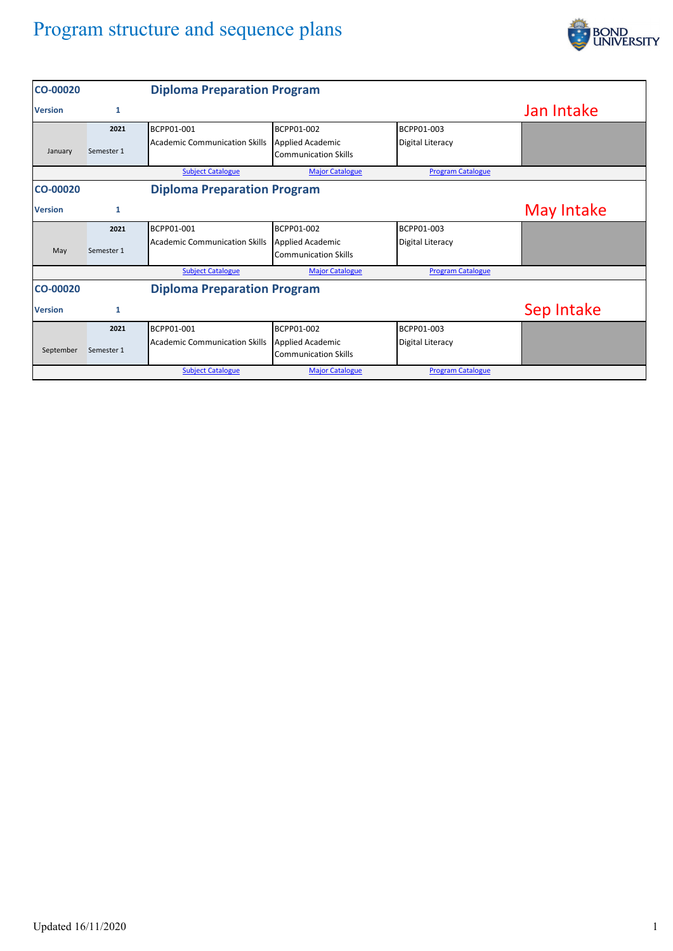## Program structure and sequence plans



| <b>CO-00020</b> |            | <b>Diploma Preparation Program</b>   |                                                        |                          |            |
|-----------------|------------|--------------------------------------|--------------------------------------------------------|--------------------------|------------|
| <b>Version</b>  | 1          |                                      |                                                        |                          | Jan Intake |
|                 | 2021       | BCPP01-001                           | BCPP01-002                                             | BCPP01-003               |            |
| January         | Semester 1 | Academic Communication Skills        | <b>Applied Academic</b><br><b>Communication Skills</b> | Digital Literacy         |            |
|                 |            | <b>Subject Catalogue</b>             | <b>Major Catalogue</b>                                 | <b>Program Catalogue</b> |            |
| <b>CO-00020</b> |            | <b>Diploma Preparation Program</b>   |                                                        |                          |            |
| <b>Version</b>  | 1          |                                      |                                                        |                          | May Intake |
|                 | 2021       | BCPP01-001                           | BCPP01-002                                             | BCPP01-003               |            |
| May             | Semester 1 | <b>Academic Communication Skills</b> | <b>Applied Academic</b><br><b>Communication Skills</b> | Digital Literacy         |            |
|                 |            | <b>Subject Catalogue</b>             | <b>Major Catalogue</b>                                 | <b>Program Catalogue</b> |            |
| <b>CO-00020</b> |            | <b>Diploma Preparation Program</b>   |                                                        |                          |            |
| <b>Version</b>  | 1          |                                      |                                                        |                          | Sep Intake |
|                 | 2021       | BCPP01-001                           | BCPP01-002                                             | BCPP01-003               |            |
| September       | Semester 1 | Academic Communication Skills        | <b>Applied Academic</b><br><b>Communication Skills</b> | Digital Literacy         |            |
|                 |            | <b>Subject Catalogue</b>             | <b>Major Catalogue</b>                                 | <b>Program Catalogue</b> |            |